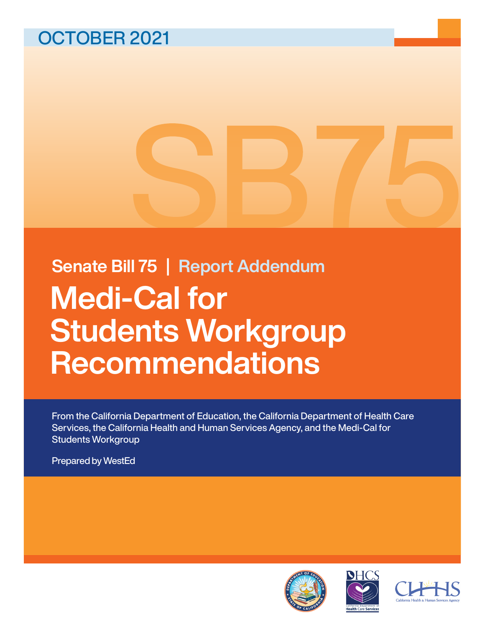# OCTOBER 2021

Medi-Cal for Students Workgroup **Recommendations** Senate Bill 75 | Report Addendum

From the California Department of Education, the California Department of Health Care Services, the California Health and Human Services Agency, and the Medi-Cal for Students Workgroup

Prepared by WestEd





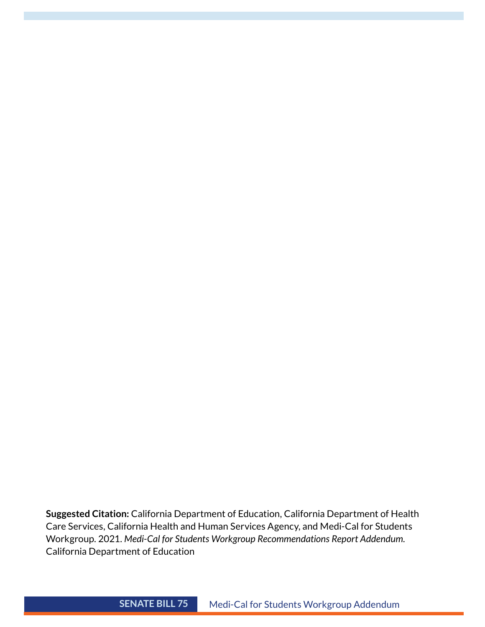**Suggested Citation:** California Department of Education, California Department of Health Care Services, California Health and Human Services Agency, and Medi-Cal for Students Workgroup. 2021. *Medi-Cal for Students Workgroup Recommendations Report Addendum.*  California Department of Education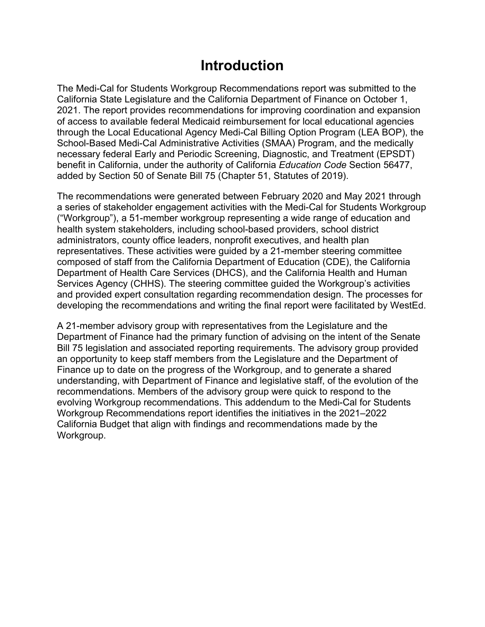### **Introduction**

The Medi-Cal for Students Workgroup Recommendations report was submitted to the California State Legislature and the California Department of Finance on October 1, 2021. The report provides recommendations for improving coordination and expansion of access to available federal Medicaid reimbursement for local educational agencies through the Local Educational Agency Medi-Cal Billing Option Program (LEA BOP), the School-Based Medi-Cal Administrative Activities (SMAA) Program, and the medically necessary federal Early and Periodic Screening, Diagnostic, and Treatment (EPSDT) benefit in California, under the authority of California *Education Code* Section 56477, added by Section 50 of Senate Bill 75 (Chapter 51, Statutes of 2019).

The recommendations were generated between February 2020 and May 2021 through a series of stakeholder engagement activities with the Medi-Cal for Students Workgroup ("Workgroup"), a 51-member workgroup representing a wide range of education and health system stakeholders, including school-based providers, school district administrators, county office leaders, nonprofit executives, and health plan representatives. These activities were guided by a 21-member steering committee composed of staff from the California Department of Education (CDE), the California Department of Health Care Services (DHCS), and the California Health and Human Services Agency (CHHS). The steering committee guided the Workgroup's activities and provided expert consultation regarding recommendation design. The processes for developing the recommendations and writing the final report were facilitated by WestEd.

A 21-member advisory group with representatives from the Legislature and the Department of Finance had the primary function of advising on the intent of the Senate Bill 75 legislation and associated reporting requirements. The advisory group provided an opportunity to keep staff members from the Legislature and the Department of Finance up to date on the progress of the Workgroup, and to generate a shared understanding, with Department of Finance and legislative staff, of the evolution of the recommendations. Members of the advisory group were quick to respond to the evolving Workgroup recommendations. This addendum to the Medi-Cal for Students Workgroup Recommendations report identifies the initiatives in the 2021–2022 California Budget that align with findings and recommendations made by the Workgroup.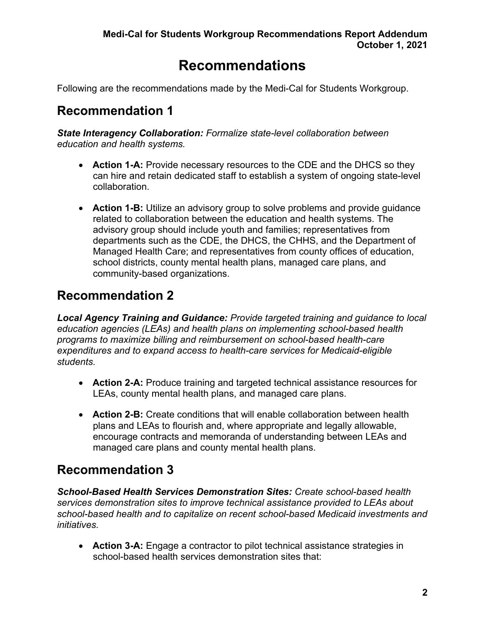### **Recommendations**

Following are the recommendations made by the Medi-Cal for Students Workgroup.

#### **Recommendation 1**

*State Interagency Collaboration: Formalize state-level collaboration between education and health systems.* 

- **Action 1-A:** Provide necessary resources to the CDE and the DHCS so they can hire and retain dedicated staff to establish a system of ongoing state-level collaboration.
- **Action 1-B:** Utilize an advisory group to solve problems and provide guidance related to collaboration between the education and health systems. The advisory group should include youth and families; representatives from departments such as the CDE, the DHCS, the CHHS, and the Department of Managed Health Care; and representatives from county offices of education, school districts, county mental health plans, managed care plans, and community-based organizations.

#### **Recommendation 2**

*Local Agency Training and Guidance: Provide targeted training and guidance to local education agencies (LEAs) and health plans on implementing school-based health programs to maximize billing and reimbursement on school-based health-care expenditures and to expand access to health-care services for Medicaid-eligible students.* 

- **Action 2-A:** Produce training and targeted technical assistance resources for LEAs, county mental health plans, and managed care plans.
- **Action 2-B:** Create conditions that will enable collaboration between health plans and LEAs to flourish and, where appropriate and legally allowable, encourage contracts and memoranda of understanding between LEAs and managed care plans and county mental health plans.

#### **Recommendation 3**

*School-Based Health Services Demonstration Sites: Create school-based health services demonstration sites to improve technical assistance provided to LEAs about school-based health and to capitalize on recent school-based Medicaid investments and initiatives.* 

• **Action 3-A:** Engage a contractor to pilot technical assistance strategies in school-based health services demonstration sites that: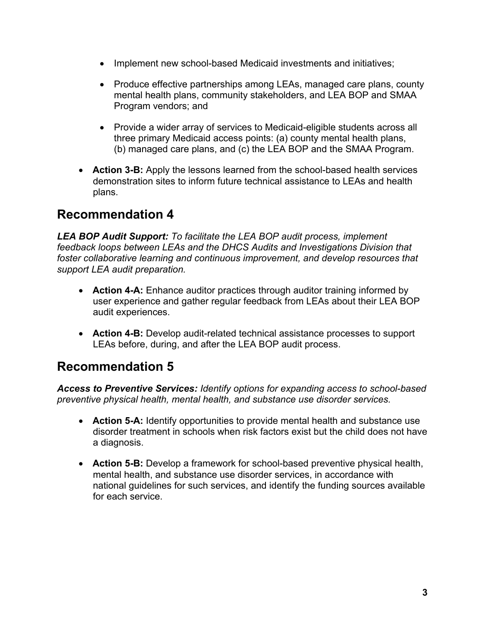- Implement new school-based Medicaid investments and initiatives;
- Produce effective partnerships among LEAs, managed care plans, county mental health plans, community stakeholders, and LEA BOP and SMAA Program vendors; and
- Provide a wider array of services to Medicaid-eligible students across all three primary Medicaid access points: (a) county mental health plans, (b) managed care plans, and (c) the LEA BOP and the SMAA Program.
- **Action 3-B:** Apply the lessons learned from the school-based health services demonstration sites to inform future technical assistance to LEAs and health plans.

#### **Recommendation 4**

*LEA BOP Audit Support: To facilitate the LEA BOP audit process, implement feedback loops between LEAs and the DHCS Audits and Investigations Division that foster collaborative learning and continuous improvement, and develop resources that support LEA audit preparation.*

- **Action 4-A:** Enhance auditor practices through auditor training informed by user experience and gather regular feedback from LEAs about their LEA BOP audit experiences.
- **Action 4-B:** Develop audit-related technical assistance processes to support LEAs before, during, and after the LEA BOP audit process.

#### **Recommendation 5**

*Access to Preventive Services: Identify options for expanding access to school-based preventive physical health, mental health, and substance use disorder services.*

- **Action 5-A:** Identify opportunities to provide mental health and substance use disorder treatment in schools when risk factors exist but the child does not have a diagnosis.
- **Action 5-B:** Develop a framework for school-based preventive physical health, mental health, and substance use disorder services, in accordance with national guidelines for such services, and identify the funding sources available for each service.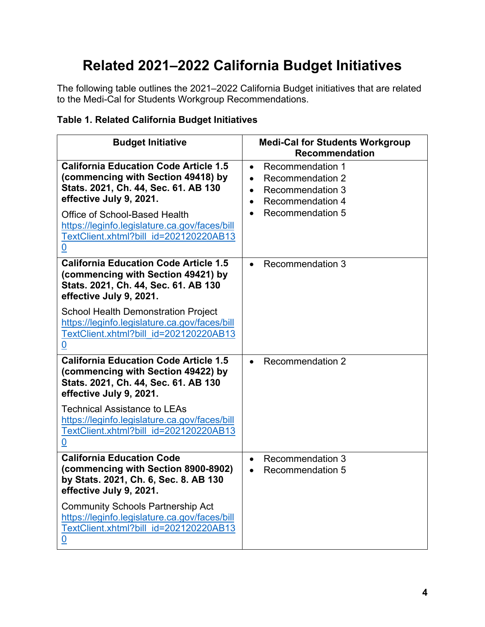## **Related 2021–2022 California Budget Initiatives**

The following table outlines the 2021–2022 California Budget initiatives that are related to the Medi-Cal for Students Workgroup Recommendations.

#### **Table 1. Related California Budget Initiatives**

| <b>Budget Initiative</b>                                                                                                                                                                                                                                                                             | <b>Medi-Cal for Students Workgroup</b><br><b>Recommendation</b>                                                                                        |
|------------------------------------------------------------------------------------------------------------------------------------------------------------------------------------------------------------------------------------------------------------------------------------------------------|--------------------------------------------------------------------------------------------------------------------------------------------------------|
| <b>California Education Code Article 1.5</b><br>(commencing with Section 49418) by<br>Stats. 2021, Ch. 44, Sec. 61. AB 130<br>effective July 9, 2021.<br>Office of School-Based Health<br>https://leginfo.legislature.ca.gov/faces/bill<br>TextClient.xhtml?bill id=202120220AB13<br>$\underline{0}$ | <b>Recommendation 1</b><br>$\bullet$<br><b>Recommendation 2</b><br>Recommendation 3<br><b>Recommendation 4</b><br>$\bullet$<br><b>Recommendation 5</b> |
| <b>California Education Code Article 1.5</b><br>(commencing with Section 49421) by<br>Stats. 2021, Ch. 44, Sec. 61. AB 130<br>effective July 9, 2021.<br><b>School Health Demonstration Project</b><br>https://leginfo.legislature.ca.gov/faces/bill<br>TextClient.xhtml?bill id=202120220AB13       | <b>Recommendation 3</b><br>$\bullet$                                                                                                                   |
| <u>0</u><br><b>California Education Code Article 1.5</b><br>(commencing with Section 49422) by<br>Stats. 2021, Ch. 44, Sec. 61. AB 130<br>effective July 9, 2021.                                                                                                                                    | <b>Recommendation 2</b>                                                                                                                                |
| <b>Technical Assistance to LEAs</b><br>https://leginfo.legislature.ca.gov/faces/bill<br>TextClient.xhtml?bill id=202120220AB13<br>0                                                                                                                                                                  |                                                                                                                                                        |
| <b>California Education Code</b><br>(commencing with Section 8900-8902)<br>by Stats. 2021, Ch. 6, Sec. 8. AB 130<br>effective July 9, 2021.                                                                                                                                                          | Recommendation 3<br>$\bullet$<br><b>Recommendation 5</b>                                                                                               |
| <b>Community Schools Partnership Act</b><br>https://leginfo.legislature.ca.gov/faces/bill<br>TextClient.xhtml?bill id=202120220AB13<br>$\underline{0}$                                                                                                                                               |                                                                                                                                                        |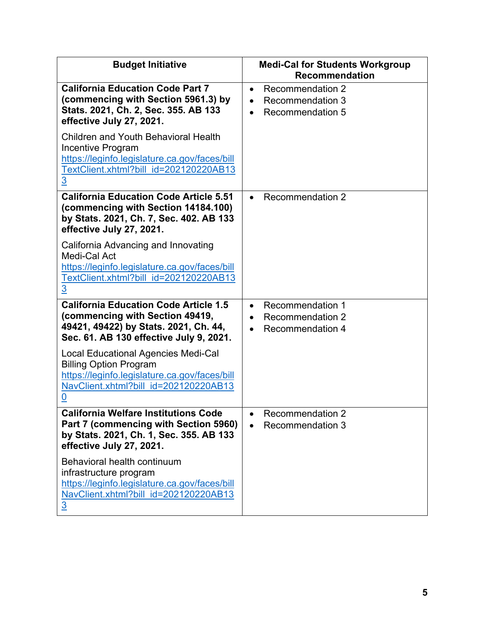| <b>Budget Initiative</b>                                                                                                                                                      | <b>Medi-Cal for Students Workgroup</b><br><b>Recommendation</b>                            |
|-------------------------------------------------------------------------------------------------------------------------------------------------------------------------------|--------------------------------------------------------------------------------------------|
| <b>California Education Code Part 7</b><br>(commencing with Section 5961.3) by<br>Stats. 2021, Ch. 2, Sec. 355. AB 133<br>effective July 27, 2021.                            | <b>Recommendation 2</b><br>$\bullet$<br><b>Recommendation 3</b><br><b>Recommendation 5</b> |
| <b>Children and Youth Behavioral Health</b><br>Incentive Program<br>https://leginfo.legislature.ca.gov/faces/bill<br>TextClient.xhtml?bill id=202120220AB13<br>$\overline{3}$ |                                                                                            |
| <b>California Education Code Article 5.51</b><br>(commencing with Section 14184.100)<br>by Stats. 2021, Ch. 7, Sec. 402. AB 133<br>effective July 27, 2021.                   | <b>Recommendation 2</b>                                                                    |
| California Advancing and Innovating<br>Medi-Cal Act<br>https://leginfo.legislature.ca.gov/faces/bill<br>TextClient.xhtml?bill id=202120220AB13<br>$\overline{3}$              |                                                                                            |
| <b>California Education Code Article 1.5</b><br>(commencing with Section 49419,<br>49421, 49422) by Stats. 2021, Ch. 44,<br>Sec. 61. AB 130 effective July 9, 2021.           | <b>Recommendation 1</b><br>$\bullet$<br><b>Recommendation 2</b><br><b>Recommendation 4</b> |
| Local Educational Agencies Medi-Cal<br><b>Billing Option Program</b><br>https://leginfo.legislature.ca.gov/faces/bill<br>NavClient.xhtml?bill id=202120220AB13<br><u>0</u>    |                                                                                            |
| <b>California Welfare Institutions Code</b><br>Part 7 (commencing with Section 5960)<br>by Stats. 2021, Ch. 1, Sec. 355. AB 133<br>effective July 27, 2021.                   | Recommendation 2<br><b>Recommendation 3</b>                                                |
| Behavioral health continuum<br>infrastructure program<br>https://leginfo.legislature.ca.gov/faces/bill<br>NavClient.xhtml?bill id=202120220AB13<br>$\overline{3}$             |                                                                                            |